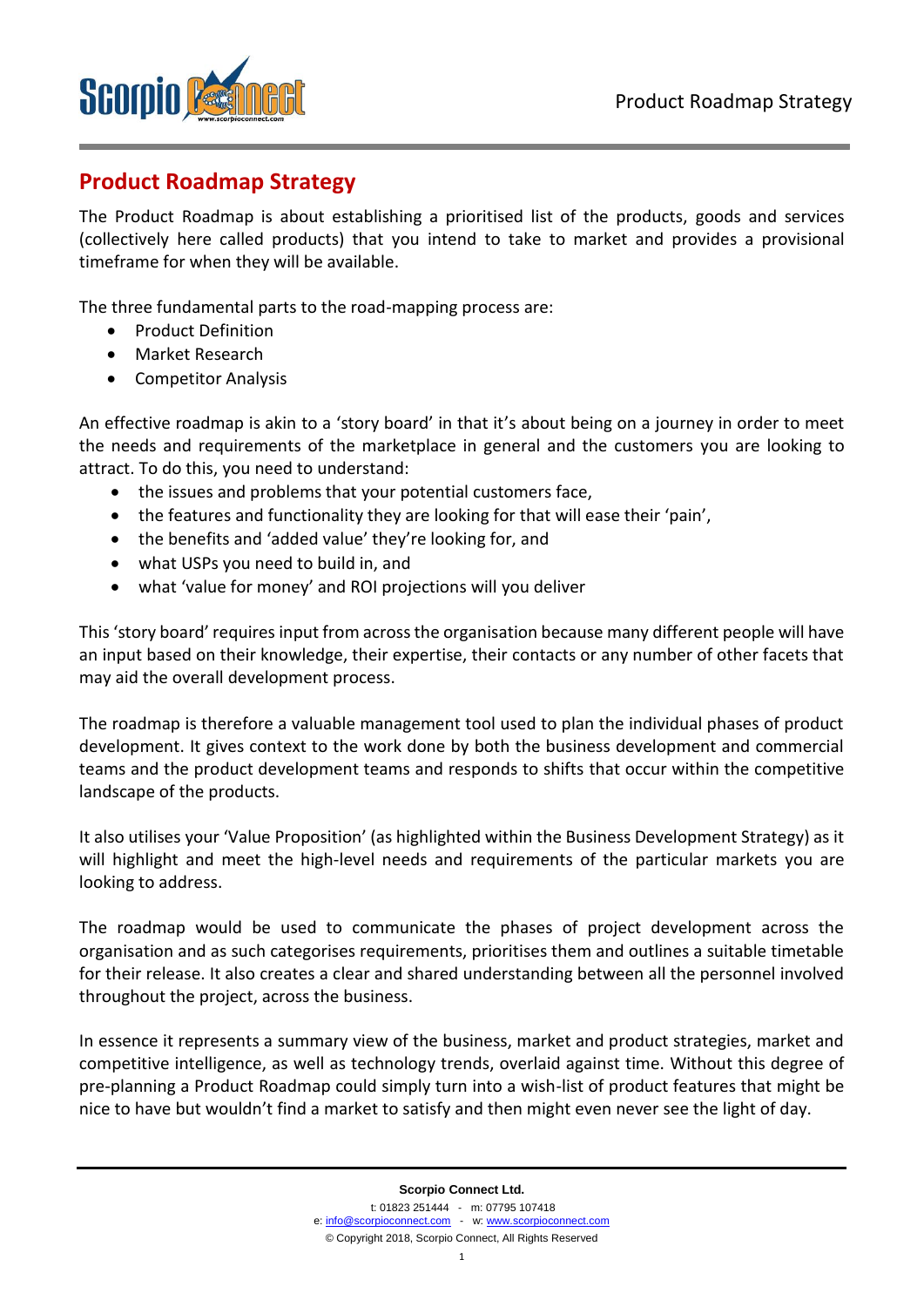

# **Product Roadmap Strategy**

The Product Roadmap is about establishing a prioritised list of the products, goods and services (collectively here called products) that you intend to take to market and provides a provisional timeframe for when they will be available.

The three fundamental parts to the road-mapping process are:

- Product Definition
- Market Research
- Competitor Analysis

An effective roadmap is akin to a 'story board' in that it's about being on a journey in order to meet the needs and requirements of the marketplace in general and the customers you are looking to attract. To do this, you need to understand:

- the issues and problems that your potential customers face,
- the features and functionality they are looking for that will ease their 'pain',
- the benefits and 'added value' they're looking for, and
- what USPs you need to build in, and
- what 'value for money' and ROI projections will you deliver

This 'story board' requires input from across the organisation because many different people will have an input based on their knowledge, their expertise, their contacts or any number of other facets that may aid the overall development process.

The roadmap is therefore a valuable management tool used to plan the individual phases of product development. It gives context to the work done by both the business development and commercial teams and the product development teams and responds to shifts that occur within the competitive landscape of the products.

It also utilises your 'Value Proposition' (as highlighted within the Business Development Strategy) as it will highlight and meet the high-level needs and requirements of the particular markets you are looking to address.

The roadmap would be used to communicate the phases of project development across the organisation and as such categorises requirements, prioritises them and outlines a suitable timetable for their release. It also creates a clear and shared understanding between all the personnel involved throughout the project, across the business.

In essence it represents a summary view of the business, market and product strategies, market and competitive intelligence, as well as technology trends, overlaid against time. Without this degree of pre-planning a Product Roadmap could simply turn into a wish-list of product features that might be nice to have but wouldn't find a market to satisfy and then might even never see the light of day.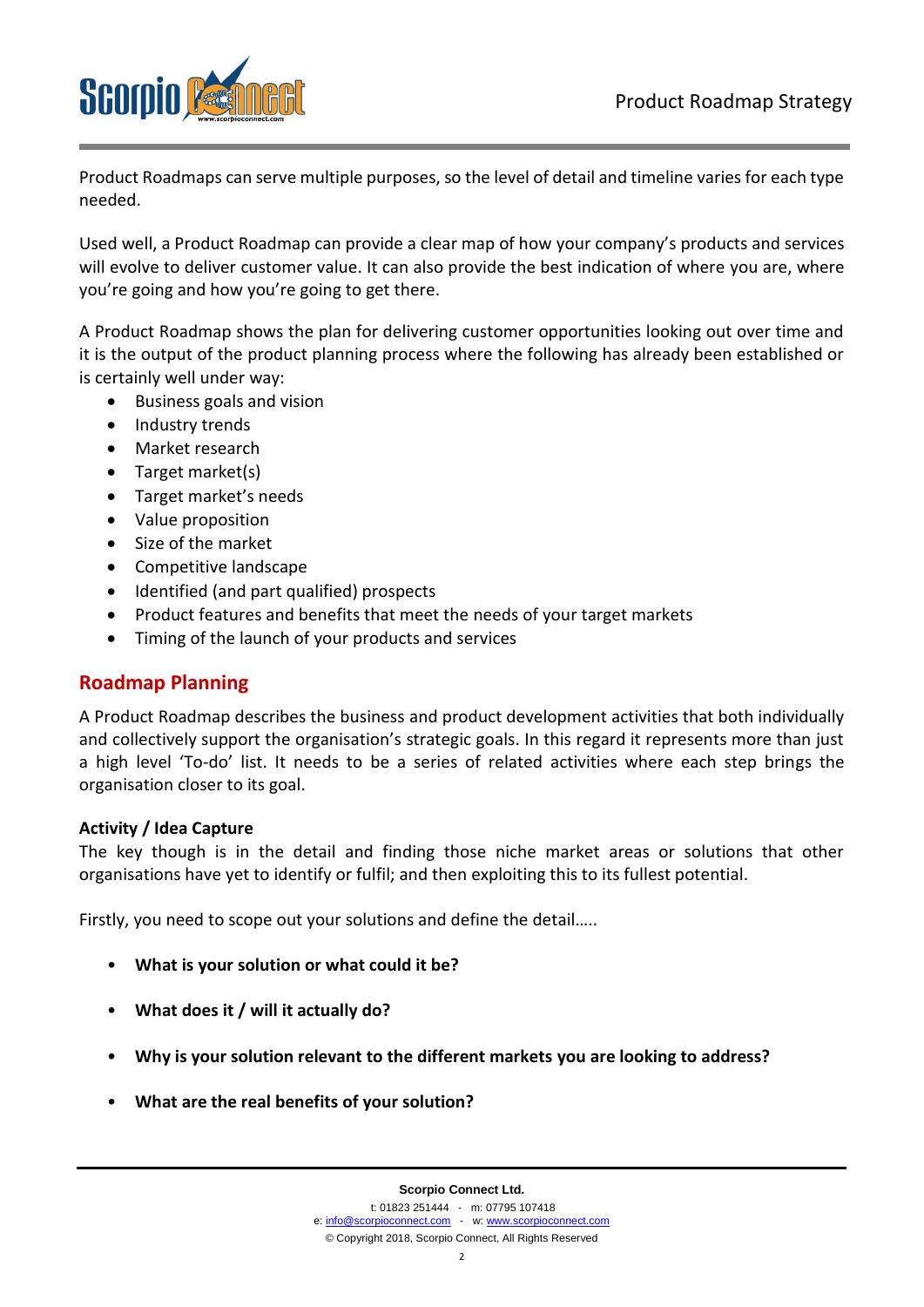

Product Roadmaps can serve multiple purposes, so the level of detail and timeline varies for each type needed.

Used well, a Product Roadmap can provide a clear map of how your company's products and services will evolve to deliver customer value. It can also provide the best indication of where you are, where you're going and how you're going to get there.

A Product Roadmap shows the plan for delivering customer opportunities looking out over time and it is the output of the product planning process where the following has already been established or is certainly well under way:

- Business goals and vision
- Industry trends
- Market research
- Target market(s)
- Target market's needs
- Value proposition
- Size of the market
- Competitive landscape
- Identified (and part qualified) prospects
- Product features and benefits that meet the needs of your target markets
- Timing of the launch of your products and services

#### **Roadmap Planning**

A Product Roadmap describes the business and product development activities that both individually and collectively support the organisation's strategic goals. In this regard it represents more than just a high level 'To-do' list. It needs to be a series of related activities where each step brings the organisation closer to its goal.

#### **Activity / Idea Capture**

The key though is in the detail and finding those niche market areas or solutions that other organisations have yet to identify or fulfil; and then exploiting this to its fullest potential.

Firstly, you need to scope out your solutions and define the detail…..

- **What is your solution or what could it be?**
- **What does it / will it actually do?**
- **Why is your solution relevant to the different markets you are looking to address?**
- **What are the real benefits of your solution?**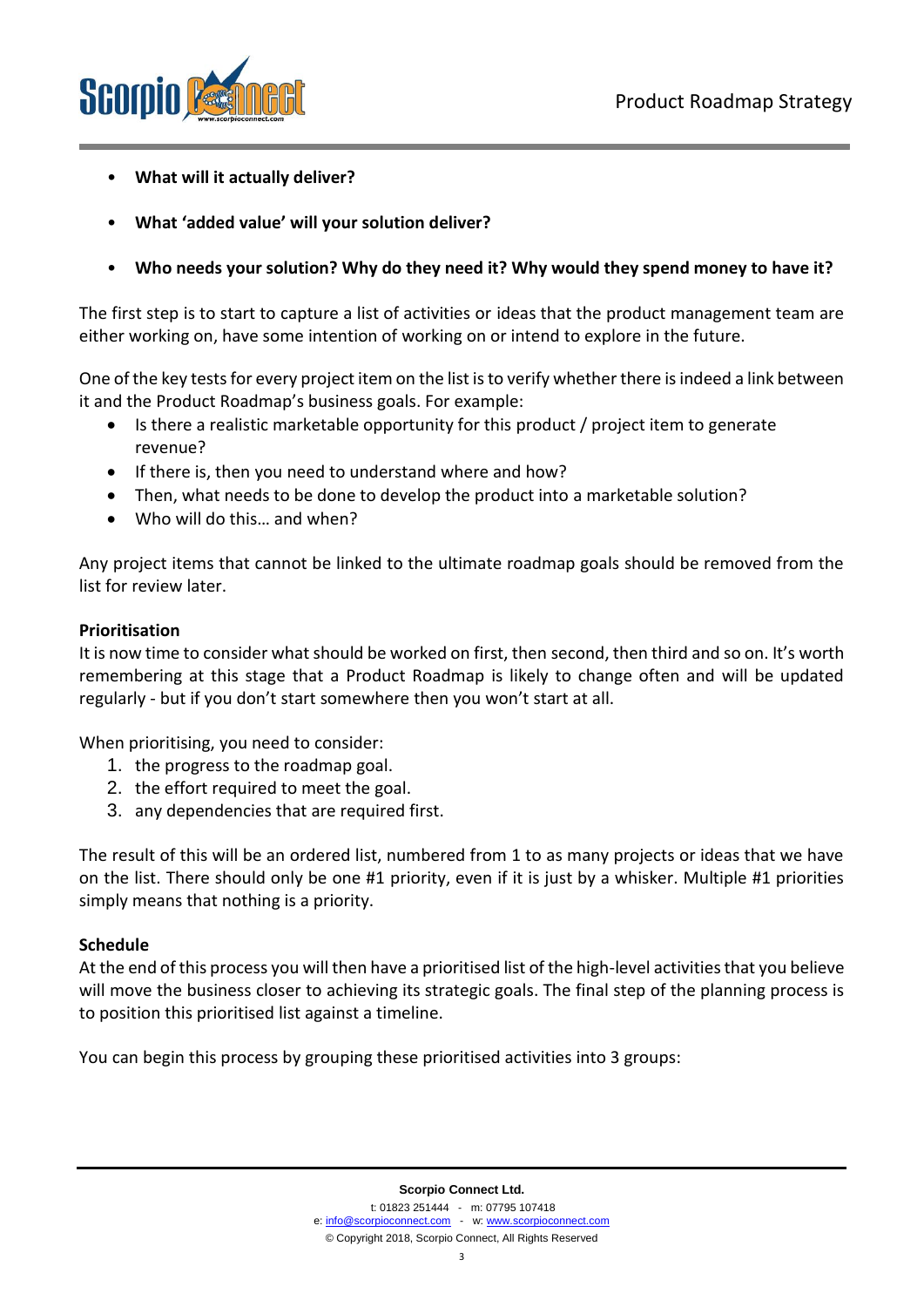

- **What will it actually deliver?**
- **What 'added value' will your solution deliver?**
- **Who needs your solution? Why do they need it? Why would they spend money to have it?**

The first step is to start to capture a list of activities or ideas that the product management team are either working on, have some intention of working on or intend to explore in the future.

One of the key tests for every project item on the list is to verify whether there is indeed a link between it and the Product Roadmap's business goals. For example:

- Is there a realistic marketable opportunity for this product / project item to generate revenue?
- If there is, then you need to understand where and how?
- Then, what needs to be done to develop the product into a marketable solution?
- Who will do this… and when?

Any project items that cannot be linked to the ultimate roadmap goals should be removed from the list for review later.

#### **Prioritisation**

It is now time to consider what should be worked on first, then second, then third and so on. It's worth remembering at this stage that a Product Roadmap is likely to change often and will be updated regularly - but if you don't start somewhere then you won't start at all.

When prioritising, you need to consider:

- 1. the progress to the roadmap goal.
- 2. the effort required to meet the goal.
- 3. any dependencies that are required first.

The result of this will be an ordered list, numbered from 1 to as many projects or ideas that we have on the list. There should only be one #1 priority, even if it is just by a whisker. Multiple #1 priorities simply means that nothing is a priority.

#### **Schedule**

At the end of this process you will then have a prioritised list of the high-level activities that you believe will move the business closer to achieving its strategic goals. The final step of the planning process is to position this prioritised list against a timeline.

You can begin this process by grouping these prioritised activities into 3 groups: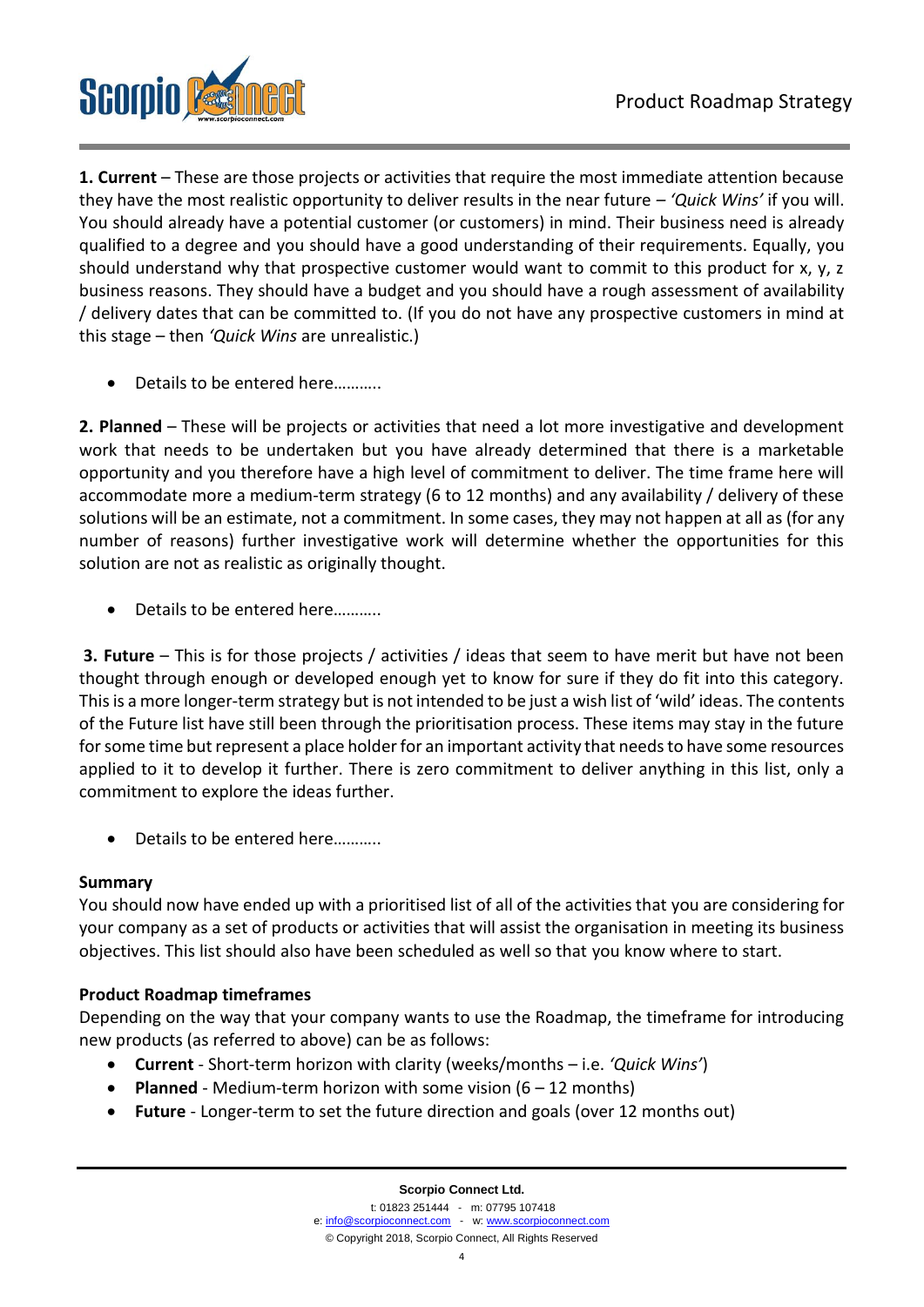

**1. Current** – These are those projects or activities that require the most immediate attention because they have the most realistic opportunity to deliver results in the near future *– 'Quick Wins'* if you will. You should already have a potential customer (or customers) in mind. Their business need is already qualified to a degree and you should have a good understanding of their requirements. Equally, you should understand why that prospective customer would want to commit to this product for x, y, z business reasons. They should have a budget and you should have a rough assessment of availability / delivery dates that can be committed to. (If you do not have any prospective customers in mind at this stage – then *'Quick Wins* are unrealistic.)

Details to be entered here...........

**2. Planned** – These will be projects or activities that need a lot more investigative and development work that needs to be undertaken but you have already determined that there is a marketable opportunity and you therefore have a high level of commitment to deliver. The time frame here will accommodate more a medium-term strategy (6 to 12 months) and any availability / delivery of these solutions will be an estimate, not a commitment. In some cases, they may not happen at all as (for any number of reasons) further investigative work will determine whether the opportunities for this solution are not as realistic as originally thought.

• Details to be entered here………..

**3. Future** – This is for those projects / activities / ideas that seem to have merit but have not been thought through enough or developed enough yet to know for sure if they do fit into this category. This is a more longer-term strategy but is not intended to be just a wish list of 'wild' ideas. The contents of the Future list have still been through the prioritisation process. These items may stay in the future for some time but represent a place holder for an important activity that needs to have some resources applied to it to develop it further. There is zero commitment to deliver anything in this list, only a commitment to explore the ideas further.

• Details to be entered here………..

#### **Summary**

You should now have ended up with a prioritised list of all of the activities that you are considering for your company as a set of products or activities that will assist the organisation in meeting its business objectives. This list should also have been scheduled as well so that you know where to start.

#### **Product Roadmap timeframes**

Depending on the way that your company wants to use the Roadmap, the timeframe for introducing new products (as referred to above) can be as follows:

- **Current** Short-term horizon with clarity (weeks/months i.e. *'Quick Wins'*)
- **Planned** Medium-term horizon with some vision (6 12 months)
- **Future** Longer-term to set the future direction and goals (over 12 months out)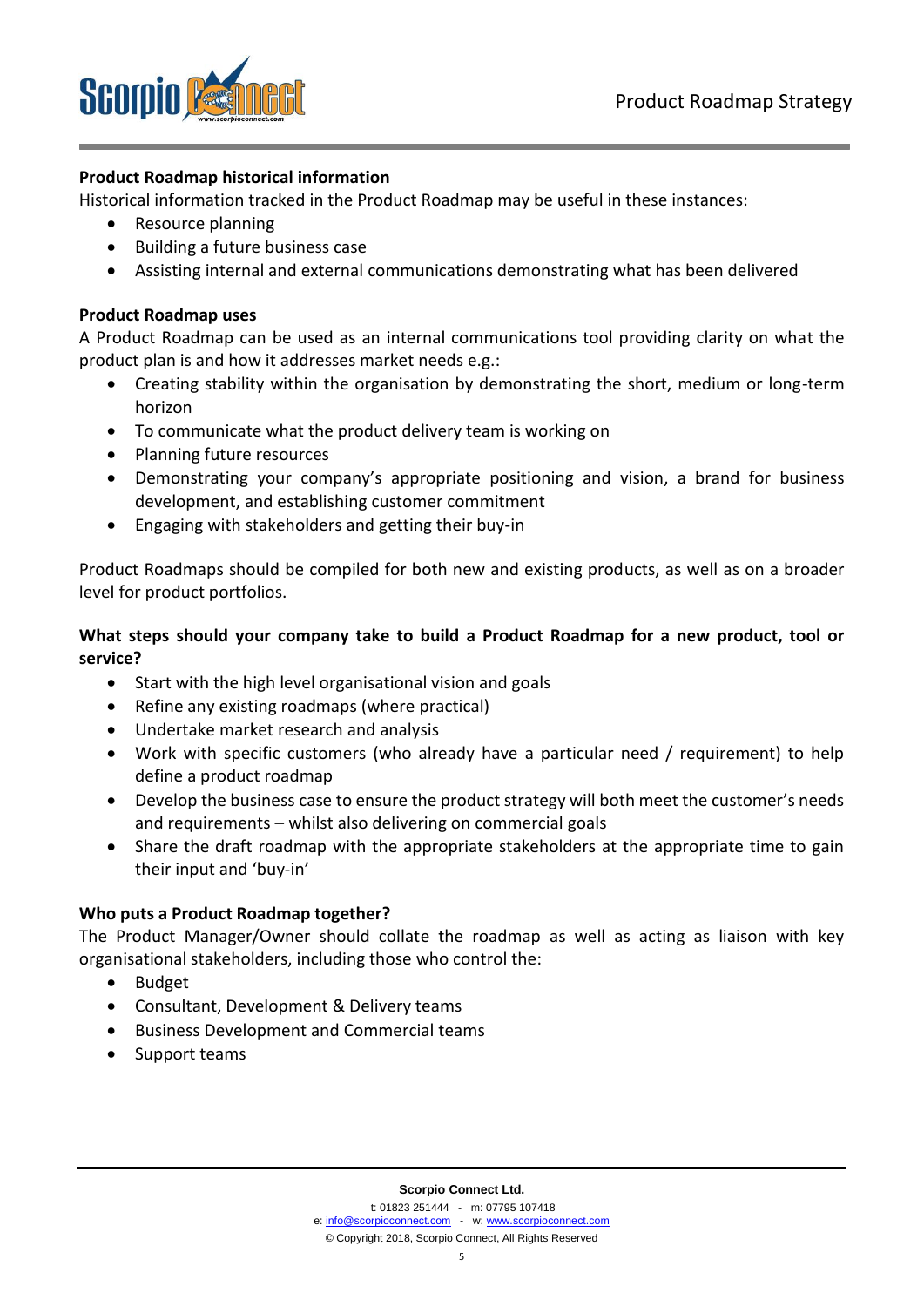

#### **Product Roadmap historical information**

Historical information tracked in the Product Roadmap may be useful in these instances:

- Resource planning
- Building a future business case
- Assisting internal and external communications demonstrating what has been delivered

#### **Product Roadmap uses**

A Product Roadmap can be used as an internal communications tool providing clarity on what the product plan is and how it addresses market needs e.g.:

- Creating stability within the organisation by demonstrating the short, medium or long-term horizon
- To communicate what the product delivery team is working on
- Planning future resources
- Demonstrating your company's appropriate positioning and vision, a brand for business development, and establishing customer commitment
- Engaging with stakeholders and getting their buy-in

Product Roadmaps should be compiled for both new and existing products, as well as on a broader level for product portfolios.

#### **What steps should your company take to build a Product Roadmap for a new product, tool or service?**

- Start with the high level organisational vision and goals
- Refine any existing roadmaps (where practical)
- Undertake market research and analysis
- Work with specific customers (who already have a particular need / requirement) to help define a product roadmap
- Develop the business case to ensure the product strategy will both meet the customer's needs and requirements – whilst also delivering on commercial goals
- Share the draft roadmap with the appropriate stakeholders at the appropriate time to gain their input and 'buy-in'

#### **Who puts a Product Roadmap together?**

The Product Manager/Owner should collate the roadmap as well as acting as liaison with key organisational stakeholders, including those who control the:

- Budget
- Consultant, Development & Delivery teams
- Business Development and Commercial teams
- Support teams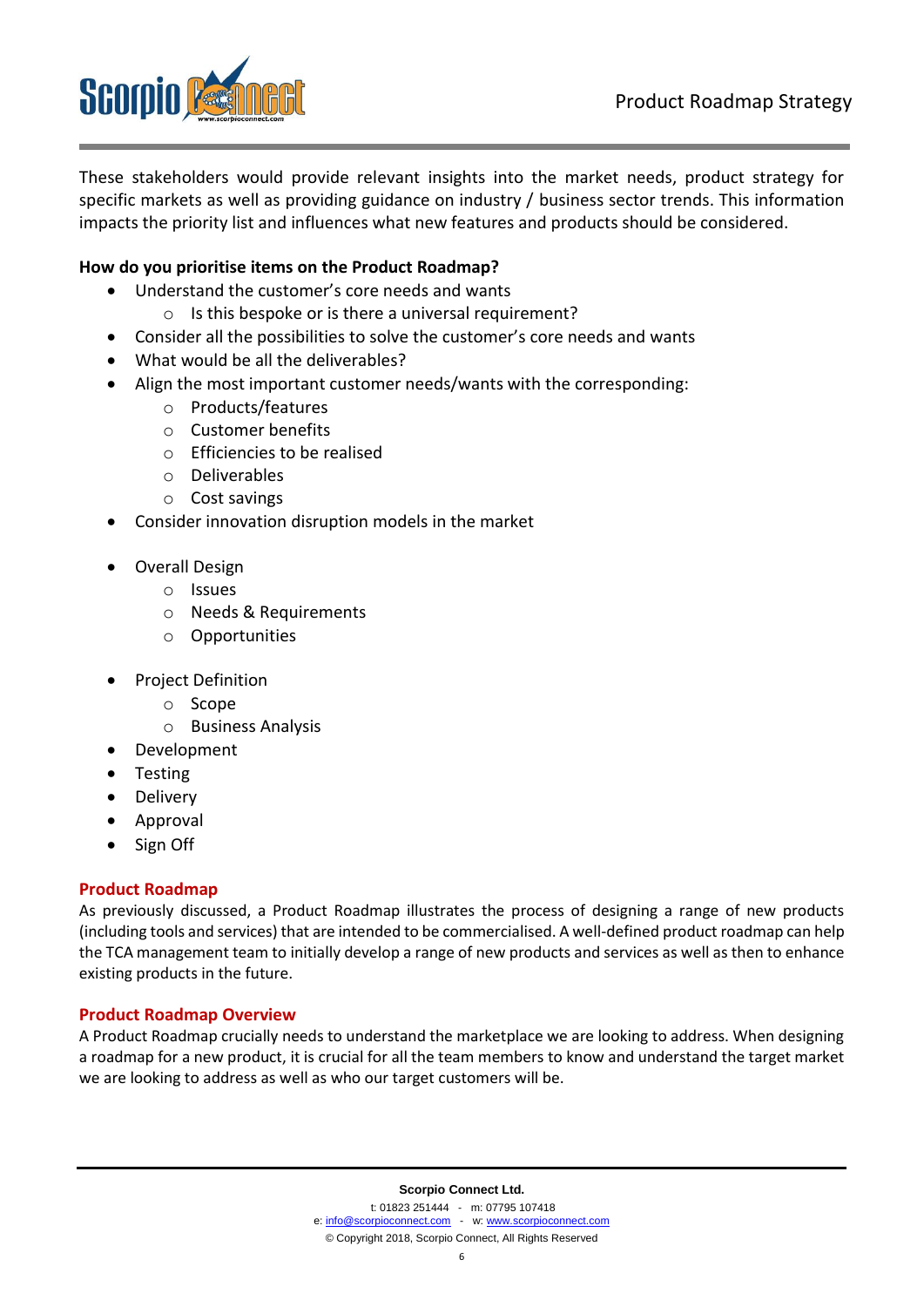

These stakeholders would provide relevant insights into the market needs, product strategy for specific markets as well as providing guidance on industry / business sector trends. This information impacts the priority list and influences what new features and products should be considered.

#### **How do you prioritise items on the Product Roadmap?**

- Understand the customer's core needs and wants
	- o Is this bespoke or is there a universal requirement?
- Consider all the possibilities to solve the customer's core needs and wants
- What would be all the deliverables?
- Align the most important customer needs/wants with the corresponding:
	- o Products/features
	- o Customer benefits
	- o Efficiencies to be realised
	- o Deliverables
	- o Cost savings
- Consider innovation disruption models in the market
- Overall Design
	- o Issues
	- o Needs & Requirements
	- o Opportunities
- Project Definition
	- o Scope
	- o Business Analysis
- Development
- Testing
- Delivery
- Approval
- Sign Off

#### **Product Roadmap**

As previously discussed, a Product Roadmap illustrates the process of designing a range of new products (including tools and services) that are intended to be commercialised. A well-defined product roadmap can help the TCA management team to initially develop a range of new products and services as well as then to enhance existing products in the future.

#### **Product Roadmap Overview**

A Product Roadmap crucially needs to understand the marketplace we are looking to address. When designing a roadmap for a new product, it is crucial for all the team members to know and understand the target market we are looking to address as well as who our target customers will be.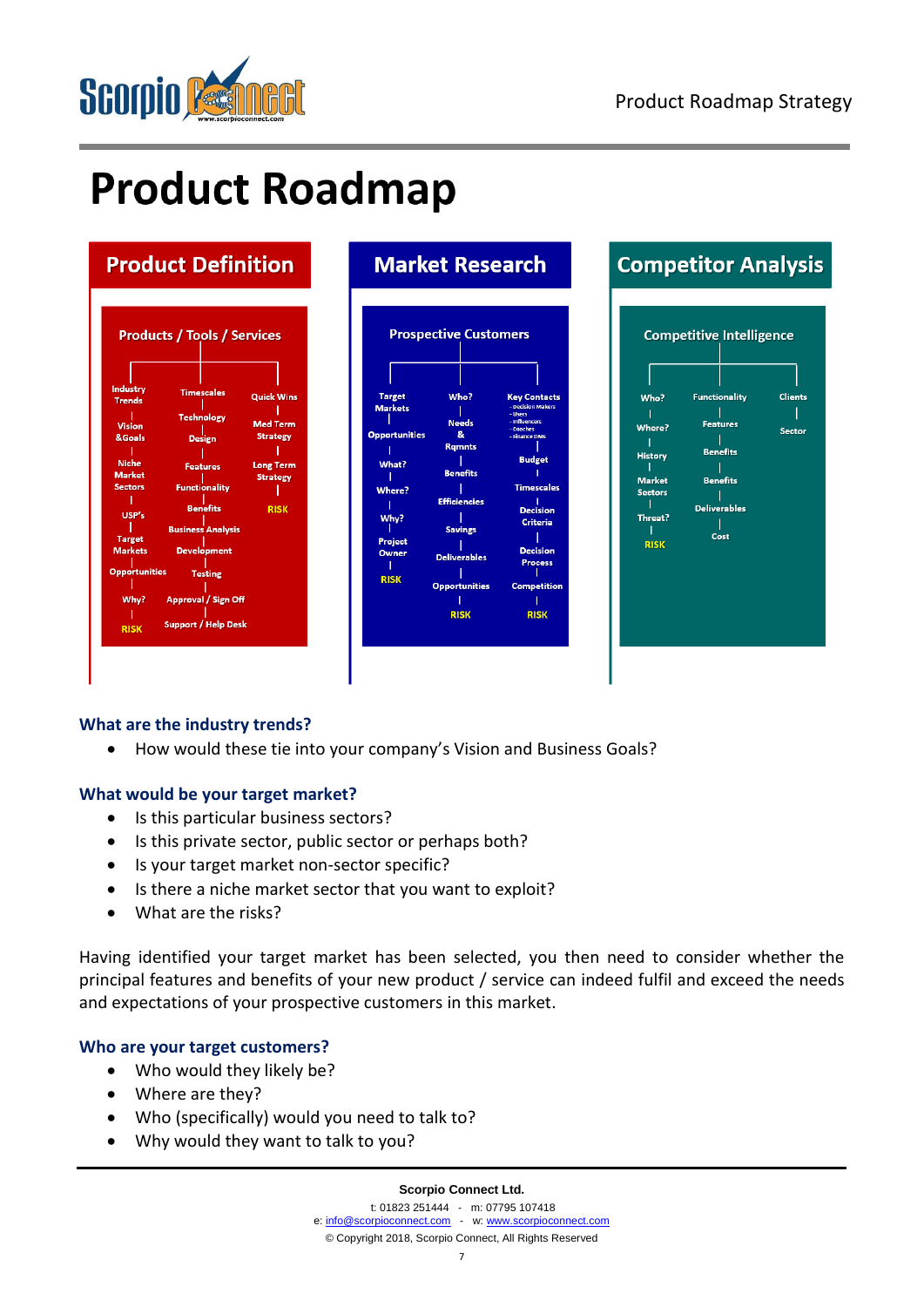

# **Product Roadmap**

## **Product Definition**



# **Market Research**





#### **What are the industry trends?**

• How would these tie into your company's Vision and Business Goals?

#### **What would be your target market?**

- Is this particular business sectors?
- Is this private sector, public sector or perhaps both?
- Is your target market non-sector specific?
- Is there a niche market sector that you want to exploit?
- What are the risks?

Having identified your target market has been selected, you then need to consider whether the principal features and benefits of your new product / service can indeed fulfil and exceed the needs and expectations of your prospective customers in this market.

#### **Who are your target customers?**

- Who would they likely be?
- Where are they?
- Who (specifically) would you need to talk to?
- Why would they want to talk to you?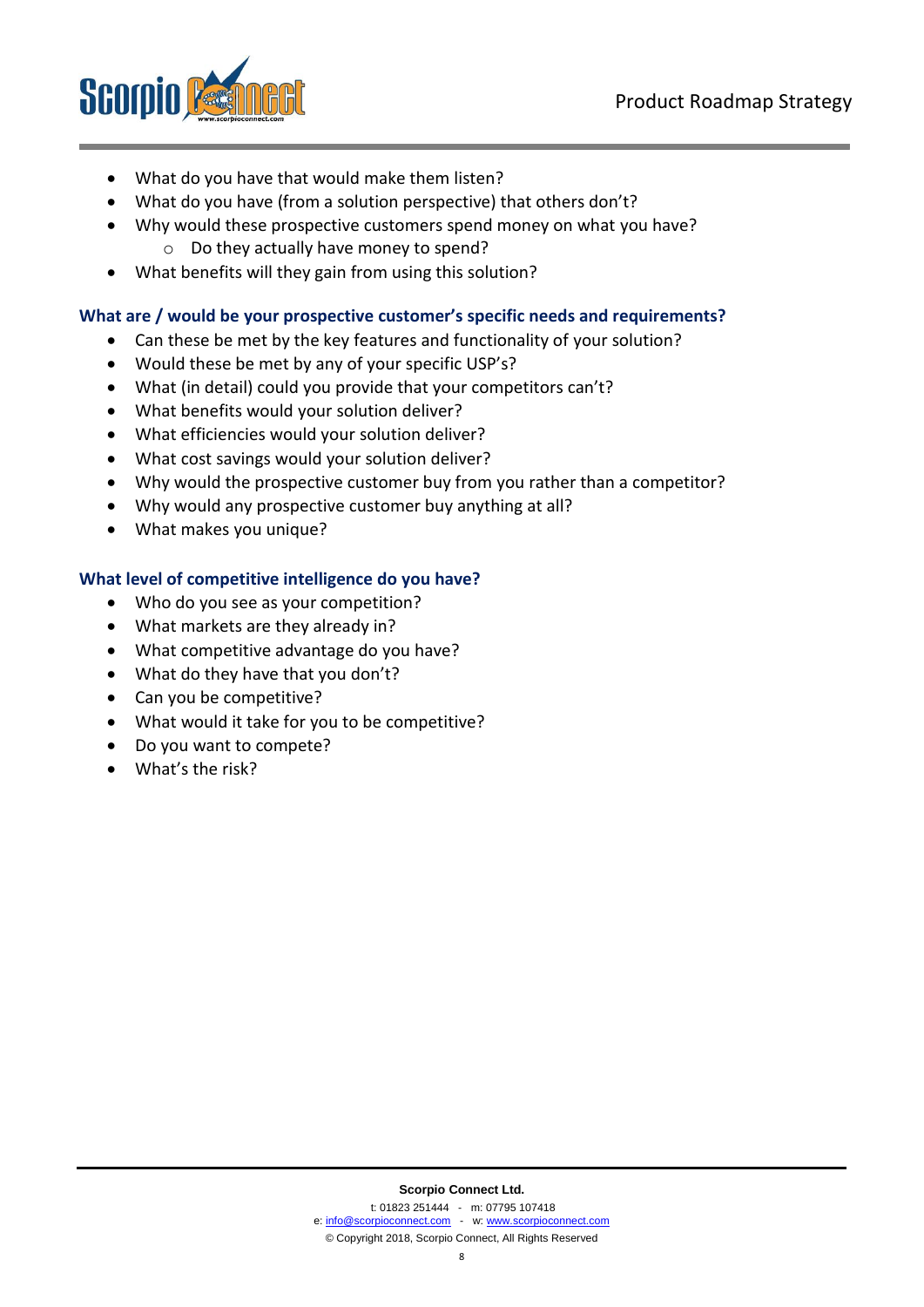

- What do you have that would make them listen?
- What do you have (from a solution perspective) that others don't?
- Why would these prospective customers spend money on what you have? o Do they actually have money to spend?
- What benefits will they gain from using this solution?

#### **What are / would be your prospective customer's specific needs and requirements?**

- Can these be met by the key features and functionality of your solution?
- Would these be met by any of your specific USP's?
- What (in detail) could you provide that your competitors can't?
- What benefits would your solution deliver?
- What efficiencies would your solution deliver?
- What cost savings would your solution deliver?
- Why would the prospective customer buy from you rather than a competitor?
- Why would any prospective customer buy anything at all?
- What makes you unique?

#### **What level of competitive intelligence do you have?**

- Who do you see as your competition?
- What markets are they already in?
- What competitive advantage do you have?
- What do they have that you don't?
- Can you be competitive?
- What would it take for you to be competitive?
- Do you want to compete?
- What's the risk?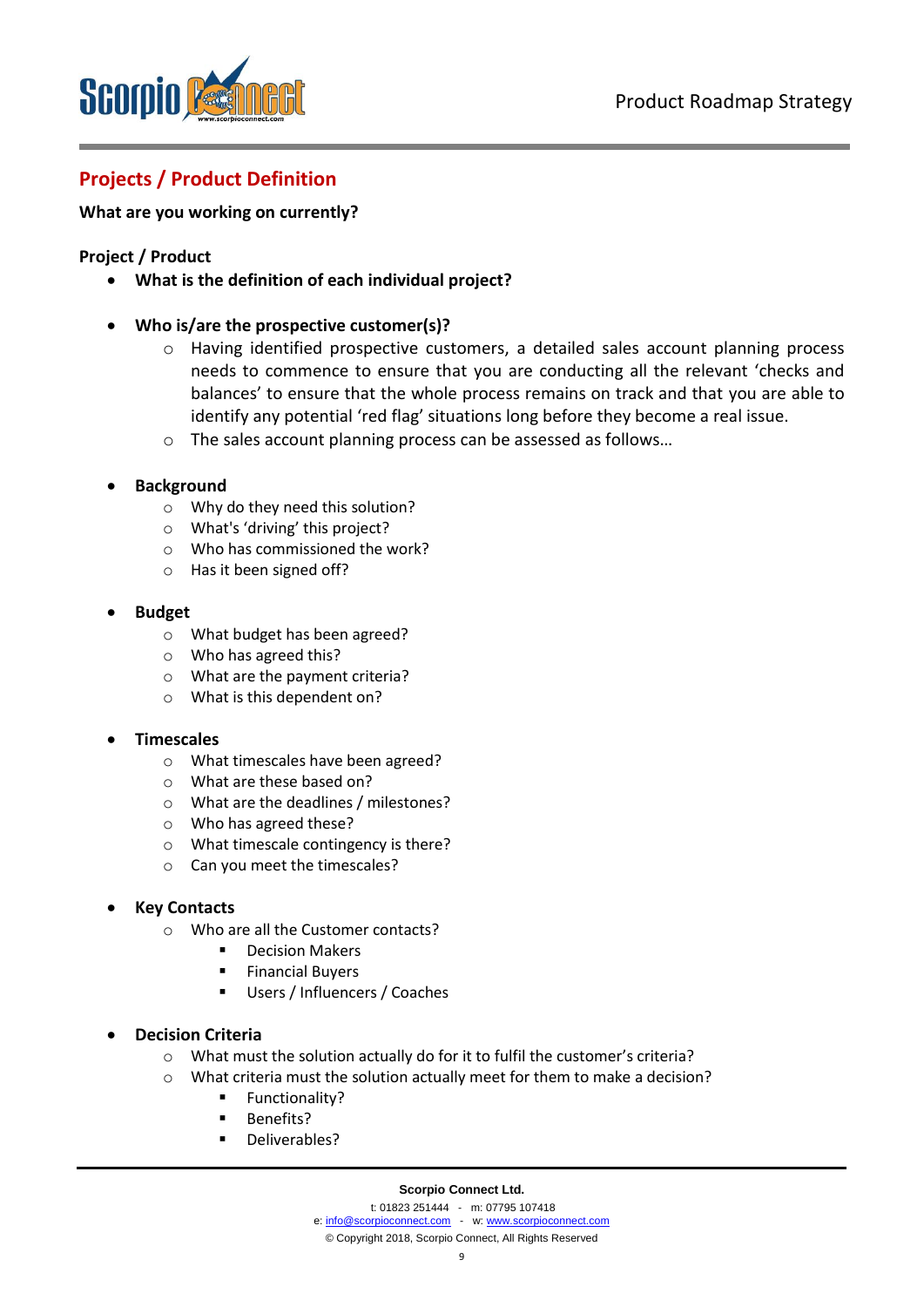

### **Projects / Product Definition**

#### **What are you working on currently?**

#### **Project / Product**

- **What is the definition of each individual project?**
- **Who is/are the prospective customer(s)?**
	- o Having identified prospective customers, a detailed sales account planning process needs to commence to ensure that you are conducting all the relevant 'checks and balances' to ensure that the whole process remains on track and that you are able to identify any potential 'red flag' situations long before they become a real issue.
	- o The sales account planning process can be assessed as follows…
- **Background**
	- o Why do they need this solution?
	- o What's 'driving' this project?
	- o Who has commissioned the work?
	- o Has it been signed off?
- **Budget**
	- o What budget has been agreed?
	- o Who has agreed this?
	- o What are the payment criteria?
	- o What is this dependent on?

#### • **Timescales**

- o What timescales have been agreed?
- o What are these based on?
- o What are the deadlines / milestones?
- o Who has agreed these?
- o What timescale contingency is there?
- o Can you meet the timescales?

#### • **Key Contacts**

- o Who are all the Customer contacts?
	- Decision Makers
	- Financial Buvers
	- Users / Influencers / Coaches

#### • **Decision Criteria**

- o What must the solution actually do for it to fulfil the customer's criteria?
- o What criteria must the solution actually meet for them to make a decision?
	- Functionality?
	- Benefits?
	- Deliverables?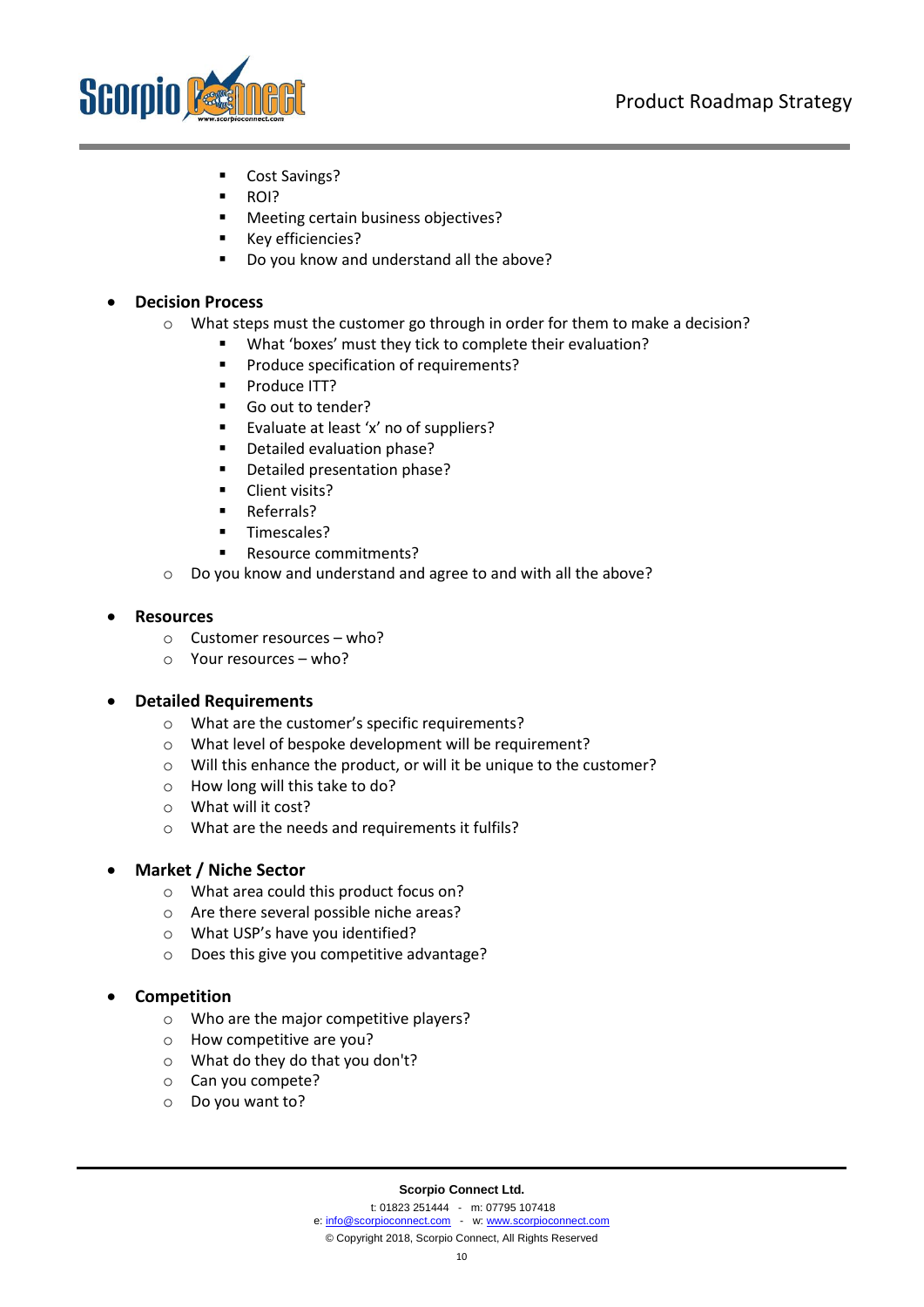

- Cost Savings?
- ROI?
- Meeting certain business objectives?
- Key efficiencies?
- Do you know and understand all the above?

• **Decision Process**

- o What steps must the customer go through in order for them to make a decision?
	- What 'boxes' must they tick to complete their evaluation?
		- Produce specification of requirements?
		- Produce ITT?
		- Go out to tender?
		- Evaluate at least 'x' no of suppliers?
		- Detailed evaluation phase?
		- Detailed presentation phase?
		- Client visits?
		- Referrals?
		- Timescales?
		- Resource commitments?
- o Do you know and understand and agree to and with all the above?

#### • **Resources**

- o Customer resources who?
- o Your resources who?

#### • **Detailed Requirements**

- o What are the customer's specific requirements?
- o What level of bespoke development will be requirement?
- o Will this enhance the product, or will it be unique to the customer?
- o How long will this take to do?
- o What will it cost?
- o What are the needs and requirements it fulfils?

#### • **Market / Niche Sector**

- o What area could this product focus on?
- o Are there several possible niche areas?
- o What USP's have you identified?
- o Does this give you competitive advantage?

#### • **Competition**

- o Who are the major competitive players?
- o How competitive are you?
- o What do they do that you don't?
- o Can you compete?
- o Do you want to?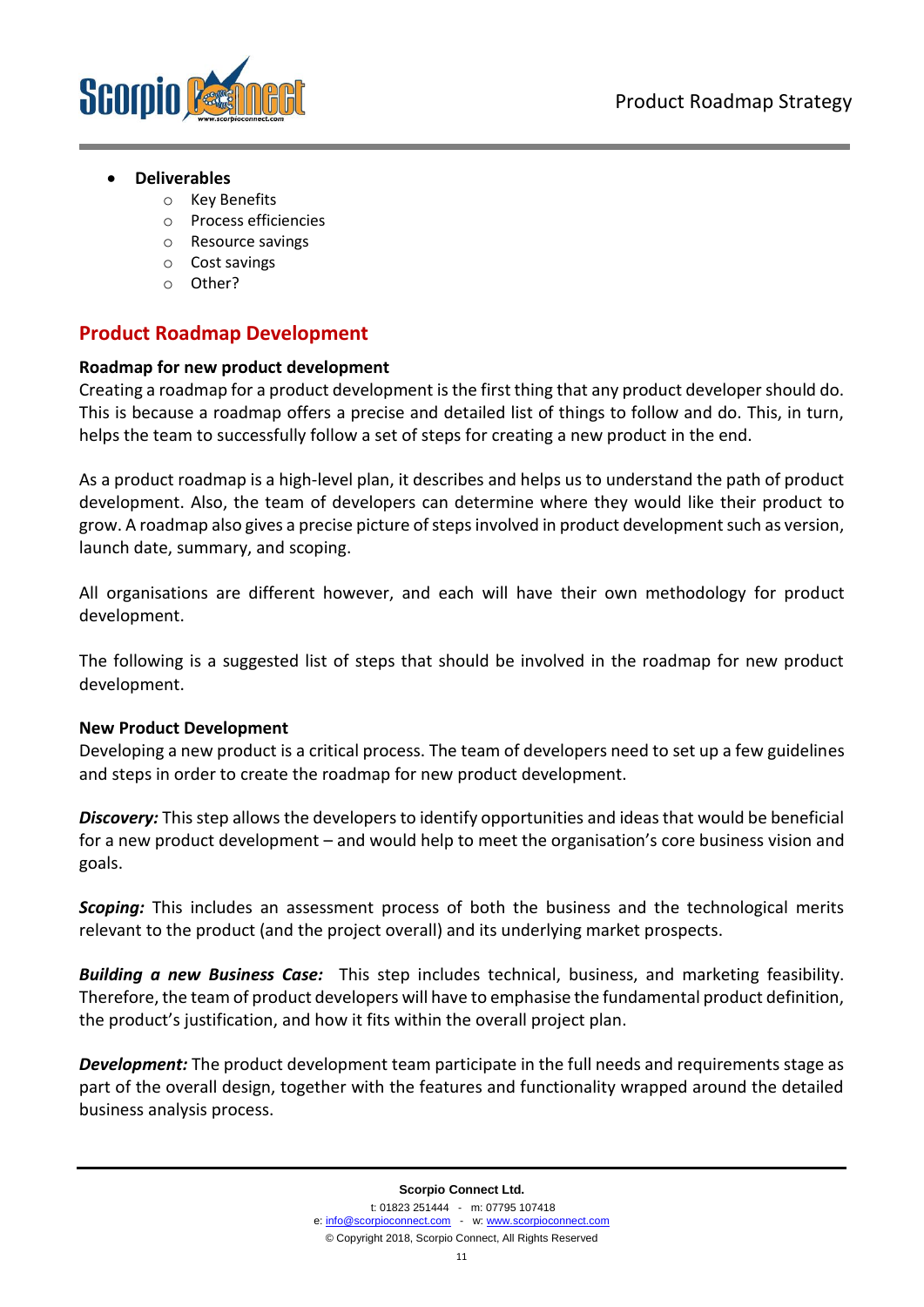

#### • **Deliverables**

- o Key Benefits
- o Process efficiencies
- o Resource savings
- o Cost savings
- o Other?

#### **Product Roadmap Development**

#### **Roadmap for new product development**

Creating a roadmap for a product development is the first thing that any product developer should do. This is because a roadmap offers a precise and detailed list of things to follow and do. This, in turn, helps the team to successfully follow a set of steps for creating a new product in the end.

As a product roadmap is a high-level plan, it describes and helps us to understand the path of product development. Also, the team of developers can determine where they would like their product to grow. A roadmap also gives a precise picture of steps involved in product development such as version, launch date, summary, and scoping.

All organisations are different however, and each will have their own methodology for product development.

The following is a suggested list of steps that should be involved in the roadmap for new product development.

#### **New Product Development**

Developing a new product is a critical process. The team of developers need to set up a few guidelines and steps in order to create the roadmap for new product development.

*Discovery:* This step allows the developers to identify opportunities and ideas that would be beneficial for a new product development – and would help to meet the organisation's core business vision and goals.

**Scoping:** This includes an assessment process of both the business and the technological merits relevant to the product (and the project overall) and its underlying market prospects.

*Building a new Business Case:* This step includes technical, business, and marketing feasibility. Therefore, the team of product developers will have to emphasise the fundamental product definition, the product's justification, and how it fits within the overall project plan.

*Development:* The product development team participate in the full needs and requirements stage as part of the overall design, together with the features and functionality wrapped around the detailed business analysis process.